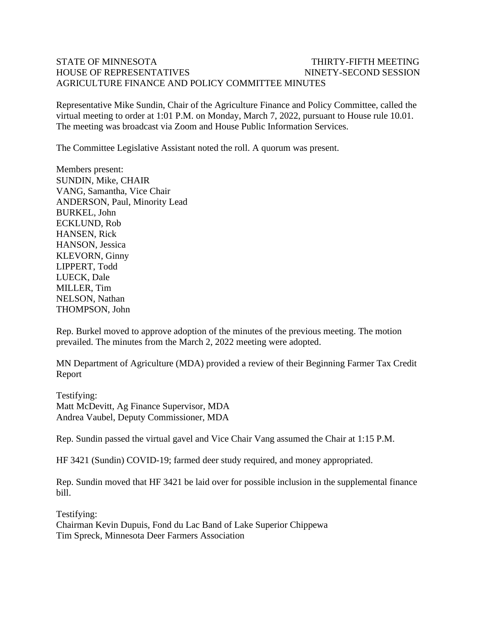## STATE OF MINNESOTA THIRTY-FIFTH MEETING HOUSE OF REPRESENTATIVES NINETY-SECOND SESSION AGRICULTURE FINANCE AND POLICY COMMITTEE MINUTES

Representative Mike Sundin, Chair of the Agriculture Finance and Policy Committee, called the virtual meeting to order at 1:01 P.M. on Monday, March 7, 2022, pursuant to House rule 10.01. The meeting was broadcast via Zoom and House Public Information Services.

The Committee Legislative Assistant noted the roll. A quorum was present.

Members present: SUNDIN, Mike, CHAIR VANG, Samantha, Vice Chair ANDERSON, Paul, Minority Lead BURKEL, John ECKLUND, Rob HANSEN, Rick HANSON, Jessica KLEVORN, Ginny LIPPERT, Todd LUECK, Dale MILLER, Tim NELSON, Nathan THOMPSON, John

Rep. Burkel moved to approve adoption of the minutes of the previous meeting. The motion prevailed. The minutes from the March 2, 2022 meeting were adopted.

MN Department of Agriculture (MDA) provided a review of their Beginning Farmer Tax Credit Report

Testifying: Matt McDevitt, Ag Finance Supervisor, MDA Andrea Vaubel, Deputy Commissioner, MDA

Rep. Sundin passed the virtual gavel and Vice Chair Vang assumed the Chair at 1:15 P.M.

HF 3421 (Sundin) COVID-19; farmed deer study required, and money appropriated.

Rep. Sundin moved that HF 3421 be laid over for possible inclusion in the supplemental finance bill.

Testifying: Chairman Kevin Dupuis, Fond du Lac Band of Lake Superior Chippewa Tim Spreck, Minnesota Deer Farmers Association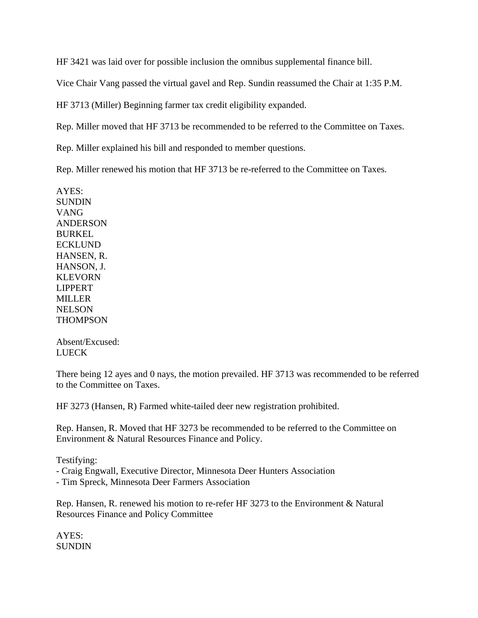HF 3421 was laid over for possible inclusion the omnibus supplemental finance bill.

Vice Chair Vang passed the virtual gavel and Rep. Sundin reassumed the Chair at 1:35 P.M.

HF 3713 (Miller) Beginning farmer tax credit eligibility expanded.

Rep. Miller moved that HF 3713 be recommended to be referred to the Committee on Taxes.

Rep. Miller explained his bill and responded to member questions.

Rep. Miller renewed his motion that HF 3713 be re-referred to the Committee on Taxes.

AYES: **SUNDIN** VANG ANDERSON BURKEL ECKLUND HANSEN, R. HANSON, J. KLEVORN LIPPERT MILLER **NELSON THOMPSON** 

Absent/Excused: **LUECK** 

There being 12 ayes and 0 nays, the motion prevailed. HF 3713 was recommended to be referred to the Committee on Taxes.

HF 3273 (Hansen, R) Farmed white-tailed deer new registration prohibited.

Rep. Hansen, R. Moved that HF 3273 be recommended to be referred to the Committee on Environment & Natural Resources Finance and Policy.

Testifying:

- Craig Engwall, Executive Director, Minnesota Deer Hunters Association

- Tim Spreck, Minnesota Deer Farmers Association

Rep. Hansen, R. renewed his motion to re-refer HF 3273 to the Environment & Natural Resources Finance and Policy Committee

AYES: **SUNDIN**